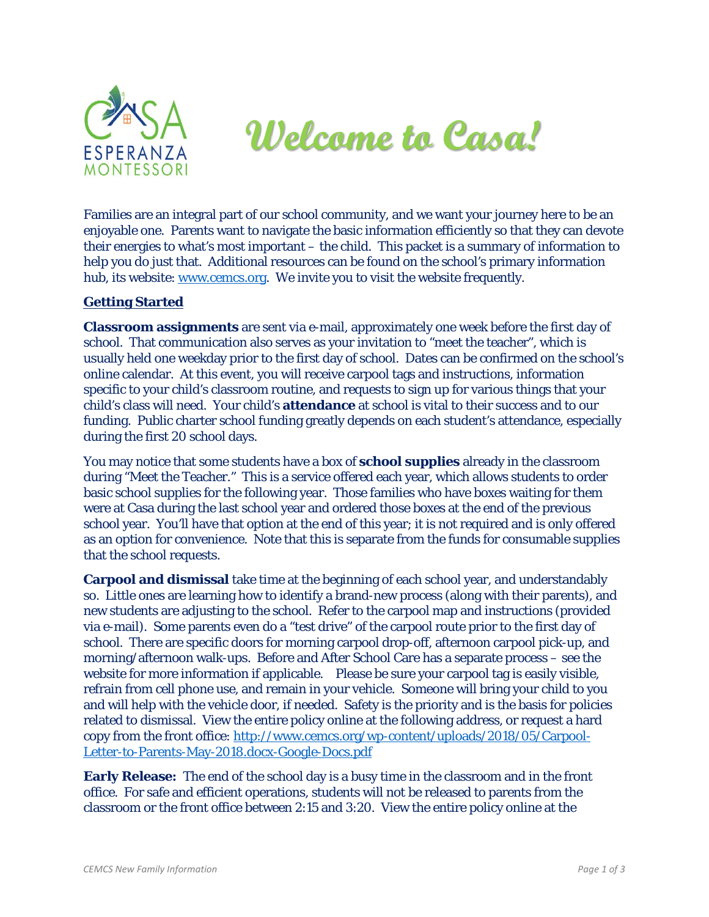



Families are an integral part of our school community, and we want your journey here to be an enjoyable one. Parents want to navigate the basic information efficiently so that they can devote their energies to what's most important – the child. This packet is a summary of information to help you do just that. Additional resources can be found on the school's primary information hub, its website: [www.cemcs.org.](http://www.cemcs.org/) We invite you to visit the website frequently.

## **Getting Started**

**Classroom assignments** are sent via e-mail, approximately one week before the first day of school. That communication also serves as your invitation to "meet the teacher", which is usually held one weekday prior to the first day of school. Dates can be confirmed on the school's online calendar. At this event, you will receive carpool tags and instructions, information specific to your child's classroom routine, and requests to sign up for various things that your child's class will need. Your child's **attendance** at school is vital to their success and to our funding. Public charter school funding greatly depends on each student's attendance, especially during the first 20 school days.

You may notice that some students have a box of **school supplies** already in the classroom during "Meet the Teacher." This is a service offered each year, which allows students to order basic school supplies for the following year. Those families who have boxes waiting for them were at Casa during the last school year and ordered those boxes at the end of the previous school year. You'll have that option at the end of this year; it is not required and is only offered as an option for convenience. Note that this is separate from the funds for consumable supplies that the school requests.

**Carpool and dismissal** take time at the beginning of each school year, and understandably so. Little ones are learning how to identify a brand-new process (along with their parents), and new students are adjusting to the school. Refer to the carpool map and instructions (provided via e-mail). Some parents even do a "test drive" of the carpool route prior to the first day of school. There are specific doors for morning carpool drop-off, afternoon carpool pick-up, and morning/afternoon walk-ups. Before and After School Care has a separate process – see the website for more information if applicable. Please be sure your carpool tag is easily visible, refrain from cell phone use, and remain in your vehicle. Someone will bring your child to you and will help with the vehicle door, if needed. Safety is the priority and is the basis for policies related to dismissal. View the entire policy online at the following address, or request a hard copy from the front office: [http://www.cemcs.org/wp-content/uploads/2018/05/Carpool-](http://www.cemcs.org/wp-content/uploads/2018/05/Carpool-Letter-to-Parents-May-2018.docx-Google-Docs.pdf)[Letter-to-Parents-May-2018.docx-Google-Docs.pdf](http://www.cemcs.org/wp-content/uploads/2018/05/Carpool-Letter-to-Parents-May-2018.docx-Google-Docs.pdf)

**Early Release:** The end of the school day is a busy time in the classroom and in the front office. For safe and efficient operations, students will not be released to parents from the classroom or the front office between 2:15 and 3:20. View the entire policy online at the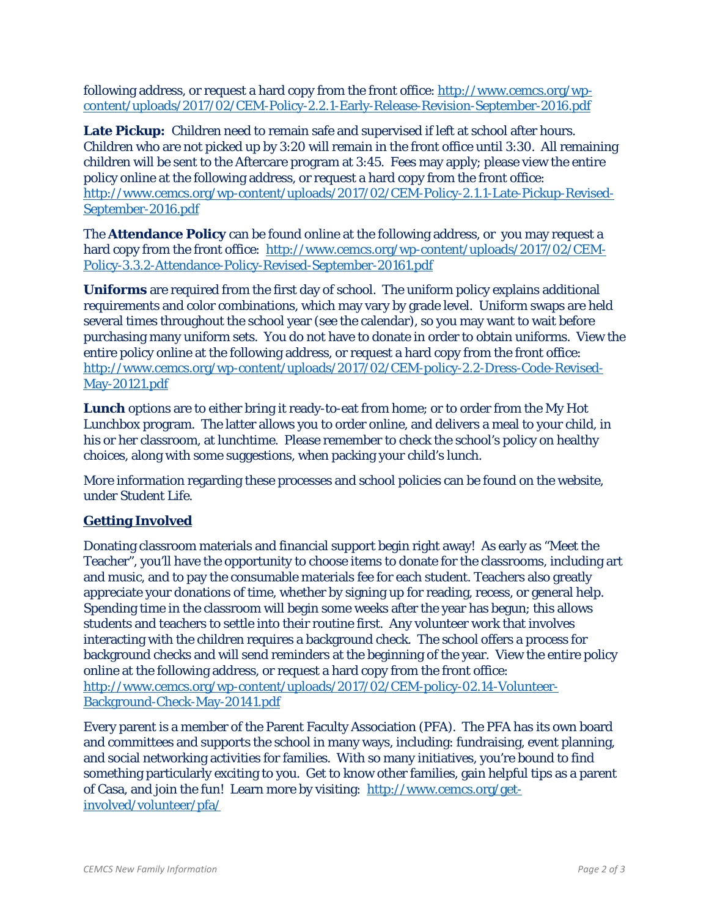following address, or request a hard copy from the front office: [http://www.cemcs.org/wp](http://www.cemcs.org/wp-content/uploads/2017/02/CEM-Policy-2.2.1-Early-Release-Revision-September-2016.pdf)[content/uploads/2017/02/CEM-Policy-2.2.1-Early-Release-Revision-September-2016.pdf](http://www.cemcs.org/wp-content/uploads/2017/02/CEM-Policy-2.2.1-Early-Release-Revision-September-2016.pdf)

**Late Pickup:** Children need to remain safe and supervised if left at school after hours. Children who are not picked up by 3:20 will remain in the front office until 3:30. All remaining children will be sent to the Aftercare program at 3:45. Fees may apply; please view the entire policy online at the following address, or request a hard copy from the front office: [http://www.cemcs.org/wp-content/uploads/2017/02/CEM-Policy-2.1.1-Late-Pickup-Revised-](http://www.cemcs.org/wp-content/uploads/2017/02/CEM-Policy-2.1.1-Late-Pickup-Revised-September-2016.pdf)[September-2016.pdf](http://www.cemcs.org/wp-content/uploads/2017/02/CEM-Policy-2.1.1-Late-Pickup-Revised-September-2016.pdf)

The **Attendance Policy** can be found online at the following address, or you may request a hard copy from the front office: [http://www.cemcs.org/wp-content/uploads/2017/02/CEM-](http://www.cemcs.org/wp-content/uploads/2017/02/CEM-Policy-3.3.2-Attendance-Policy-Revised-September-20161.pdf)[Policy-3.3.2-Attendance-Policy-Revised-September-20161.pdf](http://www.cemcs.org/wp-content/uploads/2017/02/CEM-Policy-3.3.2-Attendance-Policy-Revised-September-20161.pdf)

**Uniforms** are required from the first day of school. The uniform policy explains additional requirements and color combinations, which may vary by grade level. Uniform swaps are held several times throughout the school year (see the calendar), so you may want to wait before purchasing many uniform sets. You do not have to donate in order to obtain uniforms. View the entire policy online at the following address, or request a hard copy from the front office: [http://www.cemcs.org/wp-content/uploads/2017/02/CEM-policy-2.2-Dress-Code-Revised-](http://www.cemcs.org/wp-content/uploads/2017/02/CEM-policy-2.2-Dress-Code-Revised-May-20121.pdf)[May-20121.pdf](http://www.cemcs.org/wp-content/uploads/2017/02/CEM-policy-2.2-Dress-Code-Revised-May-20121.pdf) 

**Lunch** options are to either bring it ready-to-eat from home; or to order from the My Hot Lunchbox program. The latter allows you to order online, and delivers a meal to your child, in his or her classroom, at lunchtime. Please remember to check the school's policy on healthy choices, along with some suggestions, when packing your child's lunch.

More information regarding these processes and school policies can be found on the website, under *Student Life*.

## **Getting Involved**

Donating classroom materials and financial support begin right away! As early as "Meet the Teacher", you'll have the opportunity to choose items to donate for the classrooms, including art and music, and to pay the consumable materials fee for each student. Teachers also greatly appreciate your donations of time, whether by signing up for reading, recess, or general help. Spending time in the classroom will begin some weeks after the year has begun; this allows students and teachers to settle into their routine first. Any volunteer work that involves interacting with the children requires a background check. The school offers a process for background checks and will send reminders at the beginning of the year. View the entire policy online at the following address, or request a hard copy from the front office: [http://www.cemcs.org/wp-content/uploads/2017/02/CEM-policy-02.14-Volunteer-](http://www.cemcs.org/wp-content/uploads/2017/02/CEM-policy-02.14-Volunteer-Background-Check-May-20141.pdf)[Background-Check-May-20141.pdf](http://www.cemcs.org/wp-content/uploads/2017/02/CEM-policy-02.14-Volunteer-Background-Check-May-20141.pdf)

Every parent is a member of the Parent Faculty Association (PFA). The PFA has its own board and committees and supports the school in many ways, including: fundraising, event planning, and social networking activities for families. With so many initiatives, you're bound to find something particularly exciting to you. Get to know other families, gain helpful tips as a parent of Casa, and join the fun! Learn more by visiting: [http://www.cemcs.org/get](http://www.cemcs.org/get-involved/volunteer/pfa/)[involved/volunteer/pfa/](http://www.cemcs.org/get-involved/volunteer/pfa/)